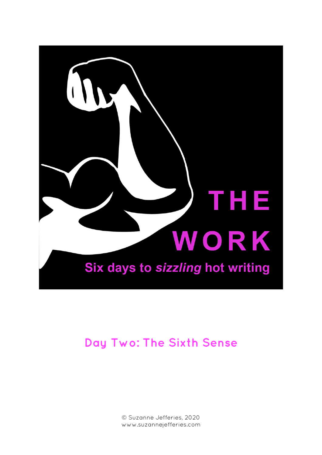

# **Day Two: The Sixth Sense**

© Suzanne Jefferies, 2020 www.suzannejefferies.com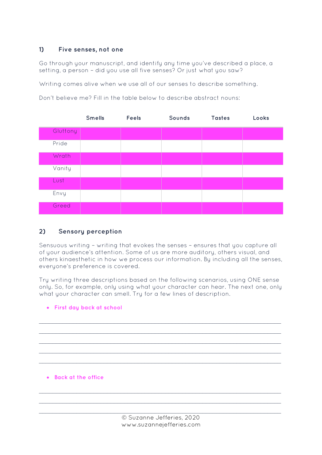## **1) Five senses, not one**

Go through your manuscript, and identify any time you've described a place, a setting, a person – did you use all five senses? Or just what you saw?

Writing comes alive when we use all of our senses to describe something.

Don't believe me? Fill in the table below to describe abstract nouns:

|          | <b>Smells</b> | <b>Feels</b> | Sounds | <b>Tastes</b> | Looks |
|----------|---------------|--------------|--------|---------------|-------|
| Gluttony |               |              |        |               |       |
| Pride    |               |              |        |               |       |
| Wrath    |               |              |        |               |       |
| Vanity   |               |              |        |               |       |
| Lust     |               |              |        |               |       |
| Envy     |               |              |        |               |       |
| Greed    |               |              |        |               |       |

## **2) Sensory perception**

Sensuous writing – writing that evokes the senses – ensures that you capture all of your audience's attention. Some of us are more auditory, others visual, and others kinaesthetic in how we process our information. By including all the senses, everyone's preference is covered.

Try writing three descriptions based on the following scenarios, using ONE sense only. So, for example, only using what your character can hear. The next one, only what your character can smell. Try for a few lines of description.



*\_\_\_\_\_\_\_\_\_\_\_\_\_\_\_\_\_\_\_\_\_\_\_\_\_\_\_\_\_\_\_\_\_\_\_\_\_\_\_\_\_\_\_\_\_\_\_\_\_\_\_\_\_\_\_\_\_\_\_\_\_\_\_\_\_\_\_\_\_\_\_*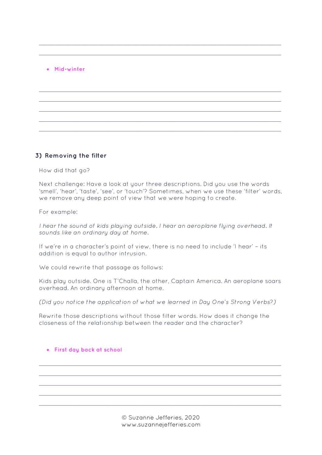#### • **Mid-winter**

#### **3) Removing the filter**

How did that go?

Next challenge: Have a look at your three descriptions. Did you use the words 'smell', 'hear', 'taste', 'see', or 'touch'? Sometimes, when we use these 'filter' words, we remove any deep point of view that we were hoping to create.

*\_\_\_\_\_\_\_\_\_\_\_\_\_\_\_\_\_\_\_\_\_\_\_\_\_\_\_\_\_\_\_\_\_\_\_\_\_\_\_\_\_\_\_\_\_\_\_\_\_\_\_\_\_\_\_\_\_\_\_\_\_\_\_\_\_\_\_\_\_\_\_ \_\_\_\_\_\_\_\_\_\_\_\_\_\_\_\_\_\_\_\_\_\_\_\_\_\_\_\_\_\_\_\_\_\_\_\_\_\_\_\_\_\_\_\_\_\_\_\_\_\_\_\_\_\_\_\_\_\_\_\_\_\_\_\_\_\_\_\_\_\_\_*

*\_\_\_\_\_\_\_\_\_\_\_\_\_\_\_\_\_\_\_\_\_\_\_\_\_\_\_\_\_\_\_\_\_\_\_\_\_\_\_\_\_\_\_\_\_\_\_\_\_\_\_\_\_\_\_\_\_\_\_\_\_\_\_\_\_\_\_\_\_\_\_ \_\_\_\_\_\_\_\_\_\_\_\_\_\_\_\_\_\_\_\_\_\_\_\_\_\_\_\_\_\_\_\_\_\_\_\_\_\_\_\_\_\_\_\_\_\_\_\_\_\_\_\_\_\_\_\_\_\_\_\_\_\_\_\_\_\_\_\_\_\_\_ \_\_\_\_\_\_\_\_\_\_\_\_\_\_\_\_\_\_\_\_\_\_\_\_\_\_\_\_\_\_\_\_\_\_\_\_\_\_\_\_\_\_\_\_\_\_\_\_\_\_\_\_\_\_\_\_\_\_\_\_\_\_\_\_\_\_\_\_\_\_\_ \_\_\_\_\_\_\_\_\_\_\_\_\_\_\_\_\_\_\_\_\_\_\_\_\_\_\_\_\_\_\_\_\_\_\_\_\_\_\_\_\_\_\_\_\_\_\_\_\_\_\_\_\_\_\_\_\_\_\_\_\_\_\_\_\_\_\_\_\_\_\_ \_\_\_\_\_\_\_\_\_\_\_\_\_\_\_\_\_\_\_\_\_\_\_\_\_\_\_\_\_\_\_\_\_\_\_\_\_\_\_\_\_\_\_\_\_\_\_\_\_\_\_\_\_\_\_\_\_\_\_\_\_\_\_\_\_\_\_\_\_\_\_*

For example:

*I hear the sound of kids playing outside. I hear an aeroplane flying overhead. It sounds like an ordinary day at home.* 

If we're in a character's point of view, there is no need to include 'I hear' – its addition is equal to author intrusion.

We could rewrite that passage as follows:

Kids play outside. One is T'Challa, the other, Captain America. An aeroplane soars overhead. An ordinary afternoon at home.

*(Did you notice the application of what we learned in Day One's Strong Verbs?)*

Rewrite those descriptions without those filter words. How does it change the closeness of the relationship between the reader and the character?

#### • **First day back at school**

© Suzanne Jefferies, 2020 www.suzannejefferies.com

*\_\_\_\_\_\_\_\_\_\_\_\_\_\_\_\_\_\_\_\_\_\_\_\_\_\_\_\_\_\_\_\_\_\_\_\_\_\_\_\_\_\_\_\_\_\_\_\_\_\_\_\_\_\_\_\_\_\_\_\_\_\_\_\_\_\_\_\_\_\_\_ \_\_\_\_\_\_\_\_\_\_\_\_\_\_\_\_\_\_\_\_\_\_\_\_\_\_\_\_\_\_\_\_\_\_\_\_\_\_\_\_\_\_\_\_\_\_\_\_\_\_\_\_\_\_\_\_\_\_\_\_\_\_\_\_\_\_\_\_\_\_\_ \_\_\_\_\_\_\_\_\_\_\_\_\_\_\_\_\_\_\_\_\_\_\_\_\_\_\_\_\_\_\_\_\_\_\_\_\_\_\_\_\_\_\_\_\_\_\_\_\_\_\_\_\_\_\_\_\_\_\_\_\_\_\_\_\_\_\_\_\_\_\_ \_\_\_\_\_\_\_\_\_\_\_\_\_\_\_\_\_\_\_\_\_\_\_\_\_\_\_\_\_\_\_\_\_\_\_\_\_\_\_\_\_\_\_\_\_\_\_\_\_\_\_\_\_\_\_\_\_\_\_\_\_\_\_\_\_\_\_\_\_\_\_ \_\_\_\_\_\_\_\_\_\_\_\_\_\_\_\_\_\_\_\_\_\_\_\_\_\_\_\_\_\_\_\_\_\_\_\_\_\_\_\_\_\_\_\_\_\_\_\_\_\_\_\_\_\_\_\_\_\_\_\_\_\_\_\_\_\_\_\_\_\_\_*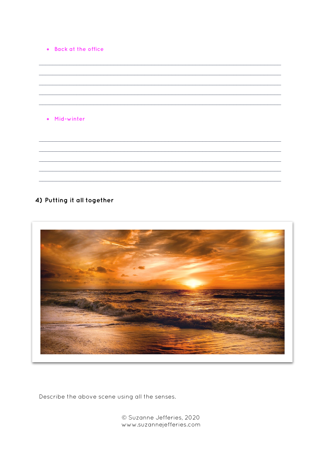#### • Back at the office

#### · Mid-winter

## 4) Putting it all together



Describe the above scene using all the senses.

© Suzanne Jefferies, 2020 www.suzannejefferies.com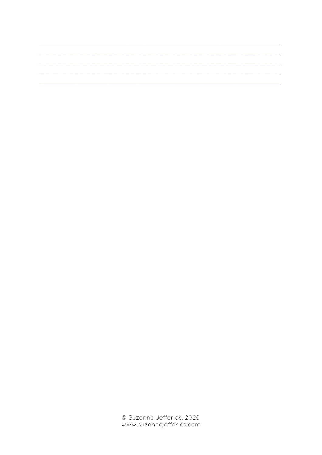